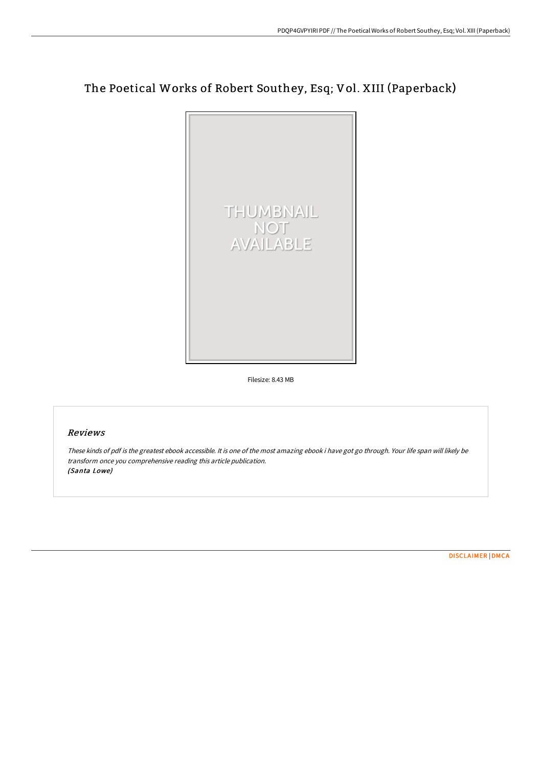## The Poetical Works of Robert Southey, Esq; Vol. XIII (Paperback)



Filesize: 8.43 MB

## Reviews

These kinds of pdf is the greatest ebook accessible. It is one of the most amazing ebook i have got go through. Your life span will likely be transform once you comprehensive reading this article publication. (Santa Lowe)

[DISCLAIMER](http://techno-pub.tech/disclaimer.html) | [DMCA](http://techno-pub.tech/dmca.html)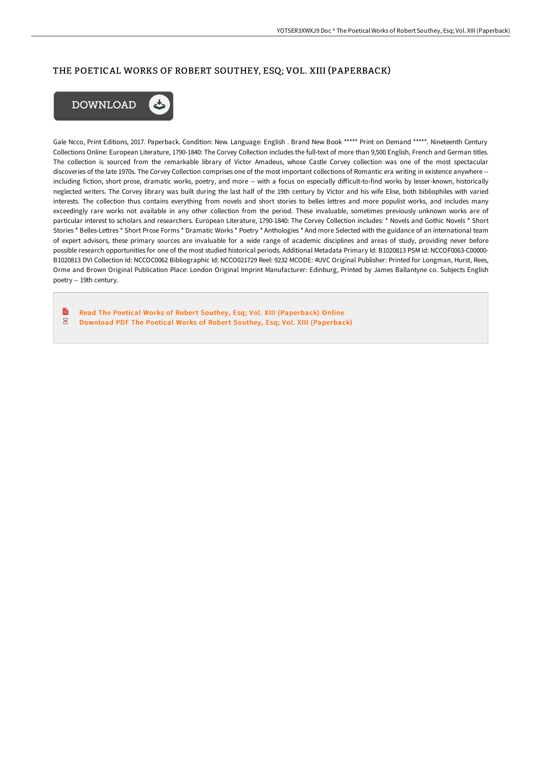## THE POETICAL WORKS OF ROBERT SOUTHEY, ESQ; VOL. XIII (PAPERBACK)



Gale Ncco, Print Editions, 2017. Paperback. Condition: New. Language: English . Brand New Book \*\*\*\*\* Print on Demand \*\*\*\*\*. Nineteenth Century Collections Online: European Literature, 1790-1840: The Corvey Collection includes the full-text of more than 9,500 English, French and German titles. The collection is sourced from the remarkable library of Victor Amadeus, whose Castle Corvey collection was one of the most spectacular discoveries of the late 1970s. The Corvey Collection comprises one of the most important collections of Romantic era writing in existence anywhere - including fiction, short prose, dramatic works, poetry, and more -- with a focus on especially difficult-to-find works by lesser-known, historically neglected writers. The Corvey library was built during the last half of the 19th century by Victor and his wife Elise, both bibliophiles with varied interests. The collection thus contains everything from novels and short stories to belles lettres and more populist works, and includes many exceedingly rare works not available in any other collection from the period. These invaluable, sometimes previously unknown works are of particular interest to scholars and researchers. European Literature, 1790-1840: The Corvey Collection includes: \* Novels and Gothic Novels \* Short Stories \* Belles-Lettres \* Short Prose Forms \* Dramatic Works \* Poetry \* Anthologies \* And more Selected with the guidance of an international team of expert advisors, these primary sources are invaluable for a wide range of academic disciplines and areas of study, providing never before possible research opportunities for one of the most studied historical periods. Additional Metadata Primary Id: B1020813 PSM Id: NCCOF0063-C00000- B1020813 DVI Collection Id: NCCOC0062 Bibliographic Id: NCCO021729 Reel: 9232 MCODE: 4UVC Original Publisher: Printed for Longman, Hurst, Rees, Orme and Brown Original Publication Place: London Original Imprint Manufacturer: Edinburg, Printed by James Ballantyne co. Subjects English poetry -- 19th century.

 $\mathbf{r}$ Read The Poetical Works of Robert Southey, Esq; Vol. XIII [\(Paperback\)](http://techno-pub.tech/the-poetical-works-of-robert-southey-esq-vol-xii-1.html) Online  $\overline{\rm \bf PDF}$ Download PDF The Poetical Works of Robert Southey, Esq; Vol. XIII [\(Paperback\)](http://techno-pub.tech/the-poetical-works-of-robert-southey-esq-vol-xii-1.html)